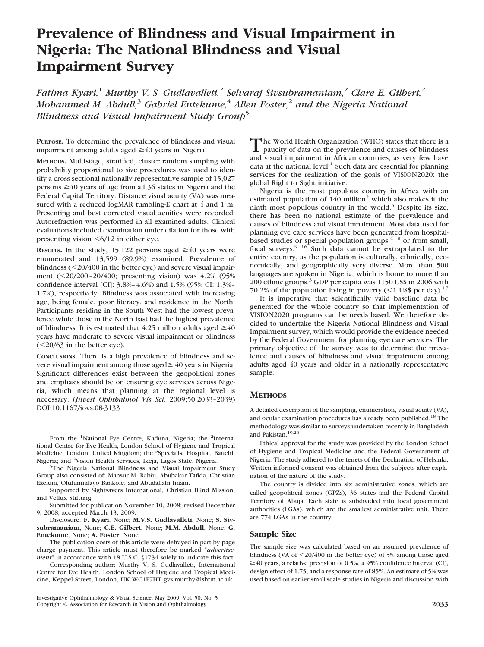# **Prevalence of Blindness and Visual Impairment in Nigeria: The National Blindness and Visual Impairment Survey**

*Fatima Kyari,*<sup>1</sup> *Murthy V. S. Gudlavalleti,*<sup>2</sup> *Selvaraj Sivsubramaniam,*<sup>2</sup> *Clare E. Gilbert,*<sup>2</sup> *Mohammed M. Abdull,*<sup>3</sup> *Gabriel Entekume,*<sup>4</sup> *Allen Foster,*<sup>2</sup> *and the Nigeria National Blindness and Visual Impairment Study Group*<sup>5</sup>

**PURPOSE.** To determine the prevalence of blindness and visual impairment among adults aged  $\geq 40$  years in Nigeria.

**METHODS.** Multistage, stratified, cluster random sampling with probability proportional to size procedures was used to identify a cross-sectional nationally representative sample of 15,027 persons  $\geq 40$  years of age from all 36 states in Nigeria and the Federal Capital Territory. Distance visual acuity (VA) was measured with a reduced logMAR tumbling-E chart at 4 and 1 m. Presenting and best corrected visual acuities were recorded. Autorefraction was performed in all examined adults. Clinical evaluations included examination under dilation for those with presenting vision  $\leq 6/12$  in either eye.

**RESULTS.** In the study, 15,122 persons aged  $\geq 40$  years were enumerated and 13,599 (89.9%) examined. Prevalence of blindness  $( $20/400$  in the better eye) and severe visual impair$ ment (20/200 –20/400; presenting vision) was 4.2% (95% confidence interval [CI]: 3.8%– 4.6%) and 1.5% (95% CI: 1.3%– 1.7%), respectively. Blindness was associated with increasing age, being female, poor literacy, and residence in the North. Participants residing in the South West had the lowest prevalence while those in the North East had the highest prevalence of blindness. It is estimated that 4.25 million adults aged  $\geq 40$ years have moderate to severe visual impairment or blindness  $(<20/63$  in the better eye).

**CONCLUSIONS.** There is a high prevalence of blindness and severe visual impairment among those aged $\geq 40$  years in Nigeria. Significant differences exist between the geopolitical zones and emphasis should be on ensuring eye services across Nigeria, which means that planning at the regional level is necessary. (*Invest Ophthalmol Vis Sci.* 2009;50:2033–2039) DOI:10.1167/iovs.08-3133

From the <sup>1</sup>National Eye Centre, Kaduna, Nigeria; the <sup>2</sup>International Centre for Eye Health, London School of Hygiene and Tropical Medicine, London, United Kingdom; the <sup>3</sup>Specialist Hospital, Bauchi, Nigeria; and <sup>4</sup>Vision Health Services, Ikeja, Lagos State, Nigeria.<br><sup>5</sup>The Nigeria National Blindness and Visual Impairment.

<sup>5</sup>The Nigeria National Blindness and Visual Impairment Study Group also consisted of: Mansur M. Rabiu, Abubakar Tafida, Christian Ezelum, Olufunmilayo Bankole, and Abudallahi Imam.

Supported by Sightsavers International, Christian Blind Mission, and Vellux Stiftung.

Submitted for publication November 10, 2008; revised December 9, 2008; accepted March 13, 2009.

Disclosure: **F. Kyari**, None; **M.V.S. Gudlavalleti**, None; **S. Sivsubramaniam**, None; **C.E. Gilbert**, None; **M.M. Abdull**, None; **G. Entekume**, None; **A. Foster**, None

The publication costs of this article were defrayed in part by page charge payment. This article must therefore be marked "*advertisement*" in accordance with 18 U.S.C. §1734 solely to indicate this fact.

Corresponding author: Murthy V. S. Gudlavalleti, International Centre for Eye Health, London School of Hygiene and Tropical Medicine, Keppel Street, London, UK WC1E7HT gvs.murthy@lshtm.ac.uk.

Investigative Ophthalmology & Visual Science, May 2009, Vol. 50, No. 5 Copyright © Association for Research in Vision and Ophthalmology **2033**

The World Health Organization (WHO) states that there is a paucity of data on the prevalence and causes of blindness and visual impairment in African countries, as very few have data at the national level.<sup>1</sup> Such data are essential for planning services for the realization of the goals of VISION2020: the global Right to Sight initiative.

Nigeria is the most populous country in Africa with an estimated population of  $140$  million<sup>2</sup> which also makes it the ninth most populous country in the world. $3$  Despite its size, there has been no national estimate of the prevalence and causes of blindness and visual impairment. Most data used for planning eye care services have been generated from hospitalbased studies or special population groups,  $4-8$  or from small, focal surveys.<sup>9-16</sup> Such data cannot be extrapolated to the entire country, as the population is culturally, ethnically, economically, and geographically very diverse. More than 500 languages are spoken in Nigeria, which is home to more than 200 ethnic groups.<sup>3</sup> GDP per capita was 1150 US\$ in 2006 with 70.2% of the population living in poverty  $(<1$  US\$ per day).<sup>17</sup>

It is imperative that scientifically valid baseline data be generated for the whole country so that implementation of VISION2020 programs can be needs based. We therefore decided to undertake the Nigeria National Blindness and Visual Impairment survey, which would provide the evidence needed by the Federal Government for planning eye care services. The primary objective of the survey was to determine the prevalence and causes of blindness and visual impairment among adults aged 40 years and older in a nationally representative sample.

## **METHODS**

A detailed description of the sampling, enumeration, visual acuity (VA), and ocular examination procedures has already been published.18 The methodology was similar to surveys undertaken recently in Bangladesh and Pakistan.19,20

Ethical approval for the study was provided by the London School of Hygiene and Tropical Medicine and the Federal Government of Nigeria. The study adhered to the tenets of the Declaration of Helsinki. Written informed consent was obtained from the subjects after explanation of the nature of the study.

The country is divided into six administrative zones, which are called geopolitical zones (GPZs), 36 states and the Federal Capital Territory of Abuja. Each state is subdivided into local government authorities (LGAs), which are the smallest administrative unit. There are 774 LGAs in the country.

#### **Sample Size**

The sample size was calculated based on an assumed prevalence of blindness (VA of 20/400 in the better eye) of 5% among those aged  $\geq$ 40 years, a relative precision of 0.5%, a 95% confidence interval (CI), design effect of 1.75, and a response rate of 85%. An estimate of 5% was used based on earlier small-scale studies in Nigeria and discussion with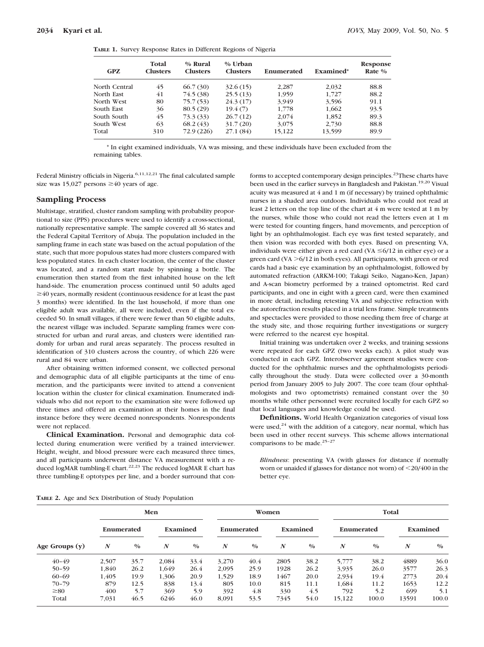|  |  | TABLE 1. Survey Response Rates in Different Regions of Nigeria |  |  |  |  |
|--|--|----------------------------------------------------------------|--|--|--|--|
|--|--|----------------------------------------------------------------|--|--|--|--|

| <b>GPZ</b>    | Total<br><b>Clusters</b> | $%$ Rural<br><b>Clusters</b> | $%$ Urban<br><b>Clusters</b> | Enumerated | Examined* | Response<br>Rate $\%$ |
|---------------|--------------------------|------------------------------|------------------------------|------------|-----------|-----------------------|
| North Central | 45                       | 66.7(30)                     | 32.6(15)                     | 2.287      | 2,032     | 88.8                  |
| North East    | 41                       | 74.5 (38)                    | 25.5(13)                     | 1,959      | 1.727     | 88.2                  |
| North West    | 80                       | 75.7 (53)                    | 24.3(17)                     | 3.949      | 3,596     | 91.1                  |
| South East    | 36                       | 80.5(29)                     | 19.4(7)                      | 1,778      | 1,662     | 93.5                  |
| South South   | 45                       | 73.3 (33)                    | 26.7(12)                     | 2.074      | 1,852     | 89.3                  |
| South West    | 63                       | 68.2(43)                     | 31.7(20)                     | 3.075      | 2,730     | 88.8                  |
| Total         | 310                      | 72.9 (226)                   | 27.1(84)                     | 15,122     | 13.599    | 89.9                  |

\* In eight examined individuals, VA was missing, and these individuals have been excluded from the remaining tables.

Federal Ministry officials in Nigeria.<sup>6,11,12,21</sup> The final calculated sample size was 15,027 persons  $\geq 40$  years of age.

#### **Sampling Process**

Multistage, stratified, cluster random sampling with probability proportional to size (PPS) procedures were used to identify a cross-sectional, nationally representative sample. The sample covered all 36 states and the Federal Capital Territory of Abuja. The population included in the sampling frame in each state was based on the actual population of the state, such that more populous states had more clusters compared with less populated states. In each cluster location, the center of the cluster was located, and a random start made by spinning a bottle. The enumeration then started from the first inhabited house on the left hand-side. The enumeration process continued until 50 adults aged  $\geq$ 40 years, normally resident (continuous residence for at least the past 3 months) were identified. In the last household, if more than one eligible adult was available, all were included, even if the total exceeded 50. In small villages, if there were fewer than 50 eligible adults, the nearest village was included. Separate sampling frames were constructed for urban and rural areas, and clusters were identified randomly for urban and rural areas separately. The process resulted in identification of 310 clusters across the country, of which 226 were rural and 84 were urban.

After obtaining written informed consent, we collected personal and demographic data of all eligible participants at the time of enumeration, and the participants were invited to attend a convenient location within the cluster for clinical examination. Enumerated individuals who did not report to the examination site were followed up three times and offered an examination at their homes in the final instance before they were deemed nonrespondents. Nonrespondents were not replaced.

**Clinical Examination.** Personal and demographic data collected during enumeration were verified by a trained interviewer. Height, weight, and blood pressure were each measured three times, and all participants underwent distance VA measurement with a reduced logMAR tumbling-E chart.<sup>22,23</sup> The reduced logMAR E chart has three tumbling-E optotypes per line, and a border surround that conforms to accepted contemporary design principles.<sup>23</sup>These charts have been used in the earlier surveys in Bangladesh and Pakistan.<sup>19,20</sup> Visual acuity was measured at 4 and 1 m (if necessary) by trained ophthalmic nurses in a shaded area outdoors. Individuals who could not read at least 2 letters on the top line of the chart at 4 m were tested at 1 m by the nurses, while those who could not read the letters even at 1 m were tested for counting fingers, hand movements, and perception of light by an ophthalmologist. Each eye was first tested separately, and then vision was recorded with both eyes. Based on presenting VA, individuals were either given a red card  $(VA \leq 6/12$  in either eye) or a green card (VA -6/12 in both eyes). All participants, with green or red cards had a basic eye examination by an ophthalmologist, followed by automated refraction (ARKM-100; Takagi Seiko, Nagano-Ken, Japan) and A-scan biometry performed by a trained optometrist. Red card participants, and one in eight with a green card, were then examined in more detail, including retesting VA and subjective refraction with the autorefraction results placed in a trial lens frame. Simple treatments and spectacles were provided to those needing them free of charge at the study site, and those requiring further investigations or surgery were referred to the nearest eye hospital.

Initial training was undertaken over 2 weeks, and training sessions were repeated for each GPZ (two weeks each). A pilot study was conducted in each GPZ. Interobserver agreement studies were conducted for the ophthalmic nurses and the ophthalmologists periodically throughout the study. Data were collected over a 30-month period from January 2005 to July 2007. The core team (four ophthalmologists and two optometrists) remained constant over the 30 months while other personnel were recruited locally for each GPZ so that local languages and knowledge could be used.

**Definitions.** World Health Organization categories of visual loss were used, $24$  with the addition of a category, near normal, which has been used in other recent surveys. This scheme allows international comparisons to be made.<sup>25-27</sup>

*Blindness*: presenting VA (with glasses for distance if normally worn or unaided if glasses for distance not worn) of 20/400 in the better eye.

**TABLE 2.** Age and Sex Distribution of Study Population

|                  | Men              |               |                  | Women         |                  |               |                  |               | Total      |               |          |               |
|------------------|------------------|---------------|------------------|---------------|------------------|---------------|------------------|---------------|------------|---------------|----------|---------------|
|                  | Enumerated       |               | Examined         |               | Enumerated       |               |                  | Examined      | Enumerated |               | Examined |               |
| Age Groups $(y)$ | $\boldsymbol{N}$ | $\frac{0}{0}$ | $\boldsymbol{N}$ | $\frac{0}{0}$ | $\boldsymbol{N}$ | $\frac{0}{0}$ | $\boldsymbol{N}$ | $\frac{0}{0}$ | N          | $\frac{0}{0}$ | N        | $\frac{0}{0}$ |
| $40 - 49$        | 2,507            | 35.7          | 2.084            | 33.4          | 3.270            | 40.4          | 2805             | 38.2          | 5,777      | 38.2          | 4889     | 36.0          |
| $50 - 59$        | 1.840            | 26.2          | 1,649            | 26.4          | 2,095            | 25.9          | 1928             | 26.2          | 3.935      | 26.0          | 3577     | 26.3          |
| $60 - 69$        | 1.405            | 19.9          | 1.306            | 20.9          | 1.529            | 18.9          | 1467             | 20.0          | 2,934      | 19.4          | 2773     | 20.4          |
| $70 - 79$        | 879              | 12.5          | 838              | 13.4          | 805              | 10.0          | 815              | 11.1          | 1.684      | 11.2          | 1653     | 12.2          |
| $\geq 80$        | 400              | 5.7           | 369              | 5.9           | 392              | 4.8           | 330              | 4.5           | 792        | 5.2           | 699      | 5.1           |
| Total            | 7,031            | 46.5          | 6246             | 46.0          | 8,091            | 53.5          | 7345             | 54.0          | 15,122     | 100.0         | 13591    | 100.0         |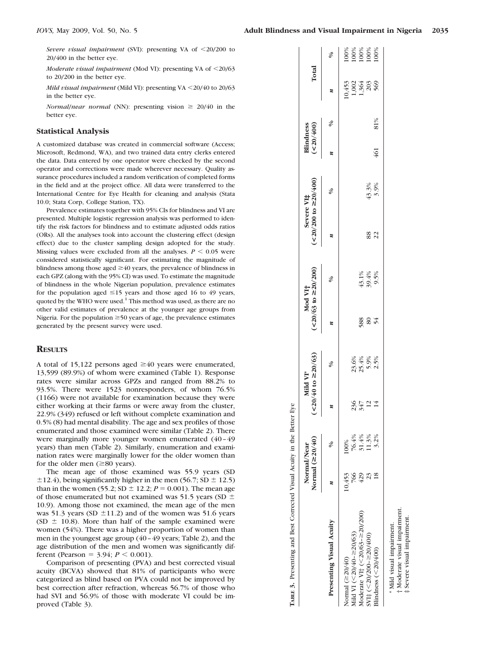*Severe visual impairment* (SVI): presenting VA of <20/200 to 20/400 in the better eye.

*Moderate visual impairment* (Mod VI): presenting VA of <20/63 to 20/200 in the better eye.

*Mild visual impairment* (Mild VI): presenting VA <20/40 to 20/63 in the better eye.

*Normal/near normal* (NN): presenting vision  $\geq 20/40$  in the better eye.

#### **Statistical Analysis**

A customized database was created in commercial software (Access; Microsoft, Redmond, WA), and two trained data entry clerks entered the data. Data entered by one operator were checked by the second operator and corrections were made wherever necessary. Quality assurance procedures included a random verification of completed forms in the field and at the project office. All data were transferred to the International Centre for Eye Health for cleaning and analysis (Stata 10.0; Stata Corp, College Station, TX).

Prevalence estimates together with 95% CIs for blindness and VI are presented. Multiple logistic regression analysis was performed to identify the risk factors for blindness and to estimate adjusted odds ratios (ORs). All the analyses took into account the clustering effect (design effect) due to the cluster sampling design adopted for the study. Missing values were excluded from all the analyses.  $P \leq 0.05$  were considered statistically significant. For estimating the magnitude of blindness among those aged  $\geq 40$  years, the prevalence of blindness in each GPZ (along with the 95% CI) was used. To estimate the magnitude of blindness in the whole Nigerian population, prevalence estimates for the population aged  $\leq 15$  years and those aged 16 to 49 years, quoted by the WHO were used.<sup>1</sup> This method was used, as there are no other valid estimates of prevalence at the younger age groups from Nigeria. For the population  $\geq 50$  years of age, the prevalence estimates generated by the present survey were used.

### **RESULTS**

A total of 15,122 persons aged  $\geq 40$  years were enumerated, 13,599 (89.9%) of whom were examined (Table 1). Response rates were similar across GPZs and ranged from 88.2% to 93.5%. There were 1523 nonresponders, of whom 76.5% (1166) were not available for examination because they were either working at their farms or were away from the cluster, 22.9% (349) refused or left without complete examination and 0.5% (8) had mental disability. The age and sex profiles of those enumerated and those examined were similar (Table 2). There were marginally more younger women enumerated (40 – 49 years) than men (Table 2). Similarly, enumeration and examination rates were marginally lower for the older women than for the older men  $(\geq 80 \text{ years})$ .

The mean age of those examined was 55.9 years (SD  $\pm$ 12.4), being significantly higher in the men (56.7; SD  $\pm$  12.5) than in the women (55.2; SD  $\pm$  12.2; *P* = 0.001). The mean age of those enumerated but not examined was 51.5 years (SD  $\pm$ 10.9). Among those not examined, the mean age of the men was 51.3 years (SD  $\pm$ 11.2) and of the women was 51.6 years (SD  $\pm$  10.8). More than half of the sample examined were women (54%). There was a higher proportion of women than men in the youngest age group (40 – 49 years; Table 2), and the age distribution of the men and women was significantly different (Pearson =  $3.94$ ;  $P < 0.001$ ). either working at their farms or were away from the cluster,<br>22.9% (34) reflused or left without complete examination and<br>0.5% (8) had mental disability. The age and sex profiles of those<br>enumerated and those examined wer

Comparison of presenting (PVA) and best corrected visual acuity (BCVA) showed that 81% of participants who were categorized as blind based on PVA could not be improved by best correction after refraction, whereas 56.7% of those who had SVI and 56.9% of those with moderate VI could be im-

|                                      | Normal/Near | Normal $(\geq 20/40)$   |                   | $(<20/40 \text{ to } \ge 20/63)$<br>Mild VI* |               | $(20/63 \text{ to } 20/200)$<br>Mod VI <sub>T</sub> |          | $($ < 20/200 to $\geq$ 20/400)<br>Severe VI‡ |     | Blindness<br>$(\texttt{<}20/\texttt{400})$ | Total                                           |                                                                          |
|--------------------------------------|-------------|-------------------------|-------------------|----------------------------------------------|---------------|-----------------------------------------------------|----------|----------------------------------------------|-----|--------------------------------------------|-------------------------------------------------|--------------------------------------------------------------------------|
| <b>Presenting Visual Acuity</b>      |             |                         |                   | ℅                                            |               | ℅                                                   |          | Ş,                                           |     | ℅                                          |                                                 | $\delta$                                                                 |
| Normal $(\geq 20/40)$                | 10,453      | .00%                    |                   |                                              |               |                                                     |          |                                              |     |                                            |                                                 |                                                                          |
| Aild VI (<20/40- $\ge$ 20/63)        | 766         | 76.4%                   |                   |                                              |               |                                                     |          |                                              |     |                                            | $1,364$<br>$1,364$<br>$1,363$<br>$569$<br>$569$ | $\begin{array}{l} 100\% \\ 100\% \\ 100\% \\ 100\% \\ 100\% \end{array}$ |
| Moderate VI† $(<20/63 - \ge 20/200)$ | 429         | $\frac{31.4\%}{11.3\%}$ | 234<br>2424<br>24 | $23.4%$<br>$25.4%$<br>$25.5%$<br>$25.5%$     |               |                                                     |          |                                              |     |                                            |                                                 |                                                                          |
| $SVt$ (<20/200-220/400)              |             |                         |                   |                                              | $588$<br>$54$ | $43.1\%$<br>$39.4\%$<br>9.5%                        |          |                                              |     |                                            |                                                 |                                                                          |
| Blindness $(<20/400)$                |             | 3.2%                    |                   |                                              |               |                                                     | 88<br>22 | $43.3%$<br>3.9%                              | 461 | 81%                                        |                                                 |                                                                          |
| * Mild visual impairment.            |             |                         |                   |                                              |               |                                                     |          |                                              |     |                                            |                                                 |                                                                          |
| † Moderate visual impairment.        |             |                         |                   |                                              |               |                                                     |          |                                              |     |                                            |                                                 |                                                                          |
| ‡ Severe visual impairment           |             |                         |                   |                                              |               |                                                     |          |                                              |     |                                            |                                                 |                                                                          |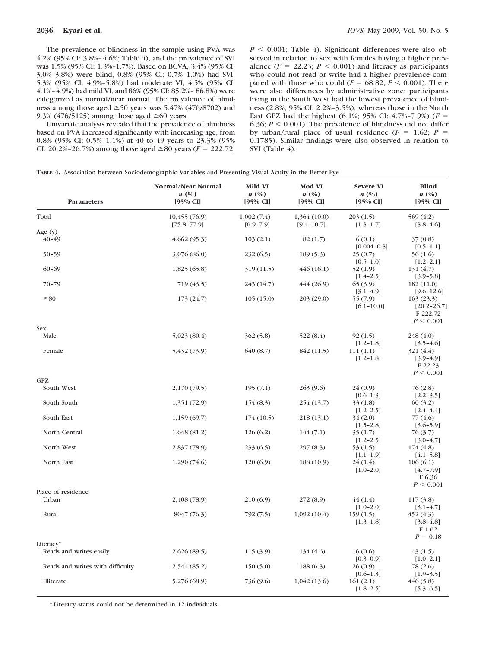The prevalence of blindness in the sample using PVA was 4.2% (95% CI: 3.8%– 4.6%; Table 4), and the prevalence of SVI was 1.5% (95% CI: 1.3%–1.7%). Based on BCVA, 3.4% (95% CI: 3.0%–3.8%) were blind, 0.8% (95% CI: 0.7%–1.0%) had SVI, 5.3% (95% CI: 4.9%–5.8%) had moderate VI, 4.5% (95% CI: 4.1%– 4.9%) had mild VI, and 86% (95% CI: 85.2%– 86.8%) were categorized as normal/near normal. The prevalence of blindness among those aged  $\geq 50$  years was 5.47% (476/8702) and 9.3% (476/5125) among those aged  $\geq 60$  years.

Univariate analysis revealed that the prevalence of blindness based on PVA increased significantly with increasing age, from 0.8% (95% CI: 0.5%–1.1%) at 40 to 49 years to 23.3% (95% CI: 20.2%–26.7%) among those aged  $\geq 80$  years (*F* = 222.72;

 $P \le 0.001$ ; Table 4). Significant differences were also observed in relation to sex with females having a higher prevalence  $(F = 22.23; P \le 0.001)$  and literacy as participants who could not read or write had a higher prevalence compared with those who could ( $F = 68.82$ ;  $P < 0.001$ ). There were also differences by administrative zone: participants living in the South West had the lowest prevalence of blindness (2.8%; 95% CI: 2.2%–3.5%), whereas those in the North East GPZ had the highest  $(6.1\%; 95\% \text{ CI: } 4.7\% - 7.9\%)$  ( $F =$ 6.36;  $P \le 0.001$ ). The prevalence of blindness did not differ by urban/rural place of usual residence  $(F = 1.62; P =$ 0.1785). Similar findings were also observed in relation to SVI (Table 4).

| TABLE 4. Association between Sociodemographic Variables and Presenting Visual Acuity in the Better Eye |  |  |  |  |
|--------------------------------------------------------------------------------------------------------|--|--|--|--|
|--------------------------------------------------------------------------------------------------------|--|--|--|--|

| Parameters                       | Normal/Near Normal<br>n(%)<br>[95% CI] | Mild VI<br>n(%)<br>$[95\% \text{ CI}]$ | Mod VI<br>n(%)<br>[95% CI]    | <b>Severe VI</b><br>n(%)<br>$[95\% \text{ CI}]$ | <b>Blind</b><br>n(%)<br>[95% CI]                      |
|----------------------------------|----------------------------------------|----------------------------------------|-------------------------------|-------------------------------------------------|-------------------------------------------------------|
| Total                            | 10,455(76.9)<br>$[75.8 - 77.9]$        | 1,002(7.4)<br>$[6.9 - 7.9]$            | 1,364(10.0)<br>$[9.4 - 10.7]$ | 203(1.5)<br>$[1.3 - 1.7]$                       | 569 (4.2)<br>$[3.8 - 4.6]$                            |
| Age $(y)$                        |                                        |                                        |                               |                                                 |                                                       |
| $40 - 49$                        | 4,662(95.3)                            | 103(2.1)                               | 82(1.7)                       | 6(0.1)<br>$[0.004 - 0.3]$                       | 37(0.8)<br>$[0.5-1.1]$                                |
| $50 - 59$                        | 3,076 (86.0)                           | 232 (6.5)                              | 189(5.3)                      | 25(0.7)<br>$[0.5 - 1.0]$                        | 56 (1.6)<br>$[1.2 - 2.1]$                             |
| $60 - 69$                        | 1,825(65.8)                            | 319 (11.5)                             | 446(16.1)                     | 52 (1.9)<br>$[1.4 - 2.5]$                       | 131 (4.7)<br>$[3.9 - 5.8]$                            |
| $70 - 79$                        | 719 (43.5)                             | 243 (14.7)                             | 444(26.9)                     | 65(3.9)<br>$[3.1-4.9]$                          | 182(11.0)<br>$[9.6 - 12.6]$                           |
| $\geq 80$                        | 173 (24.7)                             | 105(15.0)                              | 203(29.0)                     | 55 (7.9)<br>$[6.1 - 10.0]$                      | 163(23.3)<br>$[20.2 - 26.7]$<br>F 222.72<br>P < 0.001 |
| <b>Sex</b><br>Male               | 5,023(80.4)                            | 362(5.8)                               | 522(8.4)                      | 92(1.5)<br>$[1.2 - 1.8]$                        | 248 (4.0)<br>$[3.5 - 4.6]$                            |
| Female                           | 5,432 (73.9)                           | 640 (8.7)                              | 842 (11.5)                    | 111(1.1)<br>$[1.2 - 1.8]$                       | 321 (4.4)<br>$[3.9-4.9]$<br>F 22.23                   |
| GPZ                              |                                        |                                        |                               |                                                 | P < 0.001                                             |
| South West                       | 2,170 (79.5)                           | 195(7.1)                               | 263(9.6)                      | 24 (0.9)<br>$[0.6-1.3]$                         | 76 (2.8)<br>$[2.2 - 3.5]$                             |
| South South                      | 1,351(72.9)                            | 154(8.3)                               | 254(13.7)                     | 33 (1.8)<br>$[1.2 - 2.5]$                       | 60(3.2)<br>$[2.4 - 4.4]$                              |
| South East                       | 1,159(69.7)                            | 174(10.5)                              | 218(13.1)                     | 34 (2.0)<br>$[1.5 - 2.8]$                       | 77 (4.6)<br>$[3.6 - 5.9]$                             |
| North Central                    | 1,648 (81.2)                           | 126(6.2)                               | 144(7.1)                      | 35(1.7)<br>$[1.2 - 2.5]$                        | 76 (3.7)<br>$[3.0-4.7]$                               |
| North West                       | 2,837(78.9)                            | 233(6.5)                               | 297(8.3)                      | 53 (1.5)<br>$[1.1 - 1.9]$                       | 174 (4.8)<br>$[4.1 - 5.8]$                            |
| North East                       | 1,290(74.6)                            | 120(6.9)                               | 188 (10.9)                    | 24(1.4)<br>$[1.0 - 2.0]$                        | 106(6.1)<br>$[4.7 - 7.9]$<br>F 6.36<br>P < 0.001      |
| Place of residence               |                                        |                                        |                               |                                                 |                                                       |
| Urban                            | 2,408 (78.9)                           | 210 (6.9)                              | 272(8.9)                      | 44 (1.4)<br>$[1.0 - 2.0]$                       | 117(3.8)<br>$[3.1 - 4.7]$                             |
| Rural                            | 8047 (76.3)                            | 792 (7.5)                              | 1,092(10.4)                   | 159(1.5)<br>$[1.3 - 1.8]$                       | 452 (4.3)<br>$[3.8 - 4.8]$<br>F 1.62<br>$P = 0.18$    |
| Literacy*                        |                                        |                                        |                               |                                                 |                                                       |
| Reads and writes easily          | 2,626(89.5)                            | 115(3.9)                               | 134(4.6)                      | 16(0.6)<br>$[0.3 - 0.9]$                        | 43(1.5)<br>$[1.0-2.1]$                                |
| Reads and writes with difficulty | 2,544 (85.2)                           | 150(5.0)                               | 188(6.3)                      | 26(0.9)<br>$[0.6-1.3]$                          | 78 (2.6)<br>$[1.9 - 3.5]$                             |
| Illiterate                       | 5,276 (68.9)                           | 736 (9.6)                              | 1,042 (13.6)                  | 161(2.1)<br>$[1.8 - 2.5]$                       | 446(5.8)<br>$[5.3 - 6.5]$                             |

\* Literacy status could not be determined in 12 individuals.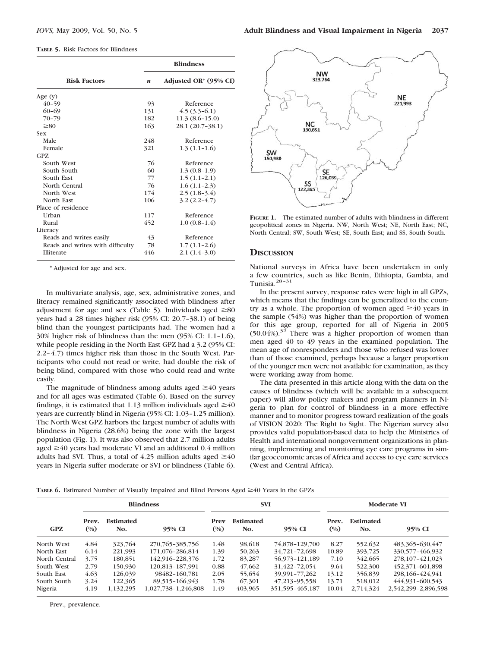|  |  |  |  | <b>TABLE 5. Risk Factors for Blindness</b> |
|--|--|--|--|--------------------------------------------|
|--|--|--|--|--------------------------------------------|

|                                  |                  | <b>Blindness</b>      |
|----------------------------------|------------------|-----------------------|
| <b>Risk Factors</b>              | $\boldsymbol{n}$ | Adjusted OR* (95% CI) |
| Age $(y)$                        |                  |                       |
| $40 - 59$                        | 93               | Reference             |
| $60 - 69$                        | 131              | $4.5(3.3-6.1)$        |
| $70 - 79$                        | 182              | $11.3(8.6-15.0)$      |
| $\geq 80$                        | 163              | 28.1 (20.7-38.1)      |
| <b>Sex</b>                       |                  |                       |
| Male                             | 248              | Reference             |
| Female                           | 321              | $1.3(1.1-1.6)$        |
| GPZ.                             |                  |                       |
| South West                       | 76               | Reference             |
| South South                      | 60               | $1.3(0.8-1.9)$        |
| South East                       | 77               | $1.5(1.1-2.1)$        |
| North Central                    | 76               | $1.6(1.1-2.3)$        |
| North West                       | 174              | $2.5(1.8-3.4)$        |
| North East                       | 106              | $3.2(2.2-4.7)$        |
| Place of residence               |                  |                       |
| Urban                            | 117              | Reference             |
| Rural                            | 452              | $1.0(0.8-1.4)$        |
| Literacy                         |                  |                       |
| Reads and writes easily          | 43               | Reference             |
| Reads and writes with difficulty | 78               | $1.7(1.1-2.6)$        |
| <b>Illiterate</b>                | 446              | $2.1(1.4-3.0)$        |

\* Adjusted for age and sex.

In multivariate analysis, age, sex, administrative zones, and literacy remained significantly associated with blindness after adjustment for age and sex (Table 5). Individuals aged  $\geq 80$ years had a 28 times higher risk (95% CI: 20.7–38.1) of being blind than the youngest participants had. The women had a 30% higher risk of blindness than the men (95% CI: 1.1–1.6), while people residing in the North East GPZ had a 3.2 (95% CI: 2.2– 4.7) times higher risk than those in the South West. Participants who could not read or write, had double the risk of being blind, compared with those who could read and write easily.

The magnitude of blindness among adults aged  $\geq 40$  years and for all ages was estimated (Table 6). Based on the survey findings, it is estimated that 1.13 million individuals aged  $\geq 40$ years are currently blind in Nigeria (95% CI: 1.03–1.25 million). The North West GPZ harbors the largest number of adults with blindness in Nigeria (28.6%) being the zone with the largest population (Fig. 1). It was also observed that 2.7 million adults aged  $\geq$  40 years had moderate VI and an additional 0.4 million adults had SVI. Thus, a total of 4.25 million adults aged  $\geq 40$ years in Nigeria suffer moderate or SVI or blindness (Table 6).



**FIGURE 1.** The estimated number of adults with blindness in different geopolitical zones in Nigeria. NW, North West; NE, North East; NC, North Central; SW, South West; SE, South East; and SS, South South.

#### **DISCUSSION**

National surveys in Africa have been undertaken in only a few countries, such as like Benin, Ethiopia, Gambia, and Tunisia. $28 - 31$ 

In the present survey, response rates were high in all GPZs, which means that the findings can be generalized to the country as a whole. The proportion of women aged  $\geq 40$  years in the sample (54%) was higher than the proportion of women for this age group, reported for all of Nigeria in 2005  $(50.04\%)$ .<sup>32</sup> There was a higher proportion of women than men aged 40 to 49 years in the examined population. The mean age of nonresponders and those who refused was lower than of those examined, perhaps because a larger proportion of the younger men were not available for examination, as they were working away from home.

The data presented in this article along with the data on the causes of blindness (which will be available in a subsequent paper) will allow policy makers and program planners in Nigeria to plan for control of blindness in a more effective manner and to monitor progress toward realization of the goals of VISION 2020: The Right to Sight. The Nigerian survey also provides valid population-based data to help the Ministries of Health and international nongovernment organizations in planning, implementing and monitoring eye care programs in similar geoeconomic areas of Africa and access to eye care services (West and Central Africa).

**TABLE 6.** Estimated Number of Visually Impaired and Blind Persons Aged  $\geq$  40 Years in the GPZs

|               | <b>Blindness</b> |                         |                     | <b>SVI</b>  |                         |                     | <b>Moderate VI</b> |                         |                     |  |
|---------------|------------------|-------------------------|---------------------|-------------|-------------------------|---------------------|--------------------|-------------------------|---------------------|--|
| <b>GPZ</b>    | Prev.<br>(0/0)   | <b>Estimated</b><br>No. | 95% CI              | Prev<br>(%) | <b>Estimated</b><br>No. | 95% CI              | Prev.<br>(0/0)     | <b>Estimated</b><br>No. | 95% CI              |  |
| North West    | 4.84             | 323,764                 | 270, 765 - 385, 756 | 1.48        | 98.618                  | 74.878-129.700      | 8.27               | 552,632                 | 483, 365 - 630, 447 |  |
| North East    | 6.14             | 221.993                 | 171.076-286.814     | 1.39        | 50,263                  | 34.721-72.698       | 10.89              | 393,725                 | 330, 577 - 466, 932 |  |
| North Central | 3.75             | 180,851                 | 142.916-228.376     | 1.72        | 83.287                  | 56.973-121.189      | 7.10               | 342.665                 | 278, 107-421, 023   |  |
| South West    | 2.79             | 150,930                 | 120.813-187.991     | 0.88        | 47,662                  | 31,422-72,054       | 9.64               | 522,300                 | 452, 371 - 601, 898 |  |
| South East    | 4.63             | 126,039                 | 98482-160.781       | 2.05        | 55,654                  | 39,991-77,262       | 13.12              | 356,839                 | 298.166-424.941     |  |
| South South   | 3.24             | 122,365                 | 89.515-166.943      | 1.78        | 67,301                  | 47, 213 - 95, 558   | 13.71              | 518.012                 | 444,931-600,543     |  |
| Nigeria       | 4.19             | 1,132,295               | 1,027,738-1,246,808 | 1.49        | 403,965                 | 351, 595 - 465, 187 | 10.04              | 2,714,324               | 2,542,299-2,896,598 |  |

Prev., prevalence.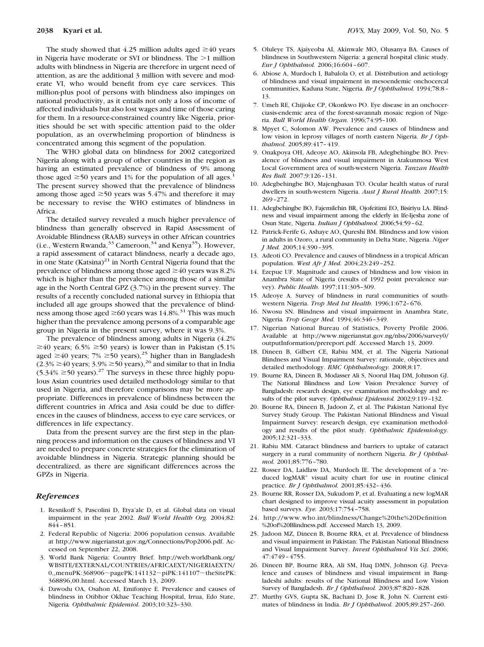The study showed that 4.25 million adults aged  $\geq 40$  years in Nigeria have moderate or SVI or blindness. The  $>1$  million adults with blindness in Nigeria are therefore in urgent need of attention, as are the additional 3 million with severe and moderate VI, who would benefit from eye care services. This million-plus pool of persons with blindness also impinges on national productivity, as it entails not only a loss of income of affected individuals but also lost wages and time of those caring for them. In a resource-constrained country like Nigeria, priorities should be set with specific attention paid to the older population, as an overwhelming proportion of blindness is concentrated among this segment of the population.

The WHO global data on blindness for 2002 categorized Nigeria along with a group of other countries in the region as having an estimated prevalence of blindness of 9% among those aged  $\geq$ 50 years and 1% for the population of all ages.<sup>1</sup> The present survey showed that the prevalence of blindness among those aged  $\geq 50$  years was 5.47% and therefore it may be necessary to revise the WHO estimates of blindness in Africa.

The detailed survey revealed a much higher prevalence of blindness than generally observed in Rapid Assessment of Avoidable Blindness (RAAB) surveys in other African countries (i.e., Western Rwanda,  $33$  Cameroon,  $34$  and Kenya<sup>35</sup>). However, a rapid assessment of cataract blindness, nearly a decade ago, in one State (Katsina)<sup>21</sup> in North Central Nigeria found that the prevalence of blindness among those aged  $\geq$  40 years was 8.2% which is higher than the prevalence among those of a similar age in the North Central GPZ (3.7%) in the present survey. The results of a recently concluded national survey in Ethiopia that included all age groups showed that the prevalence of blindness among those aged  $\geq$  60 years was 14.8%.<sup>31</sup> This was much higher than the prevalence among persons of a comparable age group in Nigeria in the present survey, where it was 9.3%.

The prevalence of blindness among adults in Nigeria (4.2%  $\geq$ 40 years; 6.5%  $\geq$ 50 years) is lower than in Pakistan (5.1%) aged  $\geq$  40 years; 7%  $\geq$  50 years),<sup>25</sup> higher than in Bangladesh  $(2.3\% \ge 40 \text{ years}; 3.9\% \ge 50 \text{ years})$ ,<sup>26</sup> and similar to that in India  $(5.34\% \ge 50 \text{ years})$ .<sup>27</sup> The surveys in these three highly populous Asian countries used detailed methodology similar to that used in Nigeria, and therefore comparisons may be more appropriate. Differences in prevalence of blindness between the different countries in Africa and Asia could be due to differences in the causes of blindness, access to eye care services, or differences in life expectancy.

Data from the present survey are the first step in the planning process and information on the causes of blindness and VI are needed to prepare concrete strategies for the elimination of avoidable blindness in Nigeria. Strategic planning should be decentralized, as there are significant differences across the GPZs in Nigeria.

#### *References*

- 1. Resnikoff S, Pascolini D, Etya'ale D, et al. Global data on visual impairment in the year 2002. *Bull World Health Org.* 2004;82: 844 – 851.
- 2. Federal Republic of Nigeria: 2006 population census. Available at http://www.nigerianstat.gov.ng/Connections/Pop2006.pdf. Accessed on September 22, 2008.
- 3. World Bank Nigeria: Country Brief. http://web.worldbank.org/ WBSITE/EXTERNAL/COUNTRIES/AFRICAEXT/NIGERIAEXTN/ 0,,menuPK:368906~pagePK:141132~piPK:141107~theSitePK: 368896,00.html. Accessed March 13, 2009.
- 4. Dawodu OA, Osahon AI, Emifoniye E. Prevalence and causes of blindness in Otibhor Okhae Teaching Hospital, Irrua, Edo State, Nigeria*. Ophthalmic Epidemiol.* 2003;10:323–330.
- 5. Oluleye TS, Ajaiyeoba AI, Akinwale MO, Olusanya BA. Causes of blindness in Southwestern Nigeria: a general hospital clinic study. *Eur J Ophthalmol.* 2006;16:604 – 607.
- 6. Abiose A, Murdoch I, Babalola O, et al. Distribution and aetiology of blindness and visual impairment in mesoendemic onchocercal communities, Kaduna State, Nigeria*. Br J Ophthalmol.* 1994;78:8 – 13.
- 7. Umeh RE, Chijioke CP, Okonkwo PO. Eye disease in an onchocerciasis-endemic area of the forest-savannah mosaic region of Nigeria. *Bull World Health Organ.* 1996;74:95–100.
- 8. Mpyet C, Solomon AW. Prevalence and causes of blindness and low vision in leprosy villages of north eastern Nigeria. *Br J Ophthalmol.* 2005;89:417– 419.
- 9. Onakpoya OH, Adeoye AO, Akinsola FB, Adegbehingbe BO. Prevalence of blindness and visual impairment in Atakunmosa West Local Government area of south-western Nigeria. *Tanzan Health Res Bull.* 2007;9:126 –131.
- 10. Adegbehingbe BO, Majengbasan TO. Ocular health status of rural dwellers in south-western Nigeria. *Aust J Rural Health.* 2007;15: 269 –272.
- 11. Adegbehingbe BO, Fajemilehin BR, Ojofeitimi EO, Bisiriyu LA. Blindness and visual impairment among the elderly in Ife-Ijesha zone of Osun State, Nigeria. *Indian J Ophthalmol.* 2006;54:59 –62.
- 12. Patrick-Ferife G, Ashaye AO, Qureshi BM. Blindness and low vision in adults in Ozoro, a rural community in Delta State, Nigeria. *Niger J Med.* 2005;14:390 –395.
- 13. Adeoti CO. Prevalence and causes of blindness in a tropical African population. *West Afr J Med.* 2004;23:249 –252.
- 14. Ezepue UF. Magnitude and causes of blindness and low vision in Anambra State of Nigeria (results of 1992 point prevalence survey). *Public Health.* 1997;111:305–309.
- 15. Adeoye A. Survey of blindness in rural communities of southwestern Nigeria. *Trop Med Int Health.* 1996;1:672– 676.
- 16. Nwosu SN. Blindness and visual impairment in Anambra State, Nigeria*. Trop Geogr Med.* 1994;46:346 –349.
- 17. Nigerian National Bureau of Statistics, Poverty Profile 2006. Available at http://www.nigerianstat.gov.ng/nlss/2006/survey0/ outputInformation/prereport.pdf. Accessed March 13, 2009.
- 18. Dineen B, Gilbert CE, Rabiu MM, et al. The Nigeria National Blindness and Visual Impairment Survey: rationale, objectives and detailed methodology. *BMC Ophthalmology.* 2008;8:17.
- 19. Bourne RA, Dineen B, Modasser Ali S, Noorul Haq DM, Johnson GJ. The National Blindness and Low Vision Prevalence Survey of Bangladesh: research design, eye examination methodology and results of the pilot survey. *Ophthalmic Epidemiol.* 2002;9:119 –132.
- 20. Bourne RA, Dineen B, Jadoon Z, et al. The Pakistan National Eye Survey Study Group. The Pakistan National Blindness and Visual Impairment Survey: research design, eye examination methodology and results of the pilot study. *Ophthalmic Epidemiology.* 2005;12:321–333.
- 21. Rabiu MM. Cataract blindness and barriers to uptake of cataract surgery in a rural community of northern Nigeria. *Br J Ophthalmol.* 2001;85:776 –780.
- 22. Rosser DA, Laidlaw DA, Murdoch IE. The development of a "reduced logMAR" visual acuity chart for use in routine clinical practice. *Br J Ophthalmol.* 2001;85:432– 436.
- 23. Bourne RR, Rosser DA, Sukudom P, et al. Evaluating a new logMAR chart designed to improve visual acuity assessment in population based surveys. *Eye.* 2003;17:754 –758.
- 24. http://www.who.int/blindness/Change%20the%20Definition %20of%20Blindness.pdf. Accessed March 13, 2009.
- 25. Jadoon MZ, Dineen B, Bourne RRA, et al. Prevalence of blindness and visual impairment in Pakistan: The Pakistan National Blindness and Visual Impairment Survey. *Invest Ophthalmol Vis Sci.* 2006; 47:4749 – 4755.
- 26. Dineen BP, Bourne RRA, Ali SM, Huq DMN, Johnson GJ. Prevalence and causes of blindness and visual impairment in Bangladeshi adults: results of the National Blindness and Low Vision Survey of Bangladesh. *Br J Ophthalmol.* 2003;87:820 – 828.
- 27. Murthy GVS, Gupta SK, Bachani D, Jose R, John N. Current estimates of blindness in India. *Br J Ophthalmol.* 2005;89:257–260.